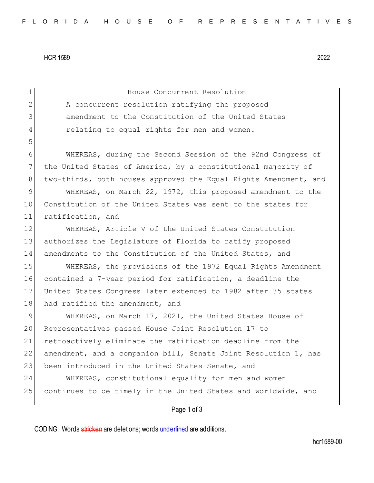HCR 1589 2022

| $\mathbf 1$ | House Concurrent Resolution                                      |
|-------------|------------------------------------------------------------------|
| 2           | A concurrent resolution ratifying the proposed                   |
| 3           | amendment to the Constitution of the United States               |
| 4           | relating to equal rights for men and women.                      |
| 5           |                                                                  |
| 6           | WHEREAS, during the Second Session of the 92nd Congress of       |
| 7           | the United States of America, by a constitutional majority of    |
| 8           | two-thirds, both houses approved the Equal Rights Amendment, and |
| $\mathsf 9$ | WHEREAS, on March 22, 1972, this proposed amendment to the       |
| 10          | Constitution of the United States was sent to the states for     |
| 11          | ratification, and                                                |
| 12          | WHEREAS, Article V of the United States Constitution             |
| 13          | authorizes the Legislature of Florida to ratify proposed         |
| 14          | amendments to the Constitution of the United States, and         |
| 15          | WHEREAS, the provisions of the 1972 Equal Rights Amendment       |
| 16          | contained a 7-year period for ratification, a deadline the       |
| 17          | United States Congress later extended to 1982 after 35 states    |
| 18          | had ratified the amendment, and                                  |
| 19          | WHEREAS, on March 17, 2021, the United States House of           |
| 20          | Representatives passed House Joint Resolution 17 to              |
| 21          | retroactively eliminate the ratification deadline from the       |
| 22          | amendment, and a companion bill, Senate Joint Resolution 1, has  |
| 23          | been introduced in the United States Senate, and                 |
| 24          | WHEREAS, constitutional equality for men and women               |
| 25          | continues to be timely in the United States and worldwide, and   |
|             | Page 1 of 3                                                      |

CODING: Words stricken are deletions; words underlined are additions.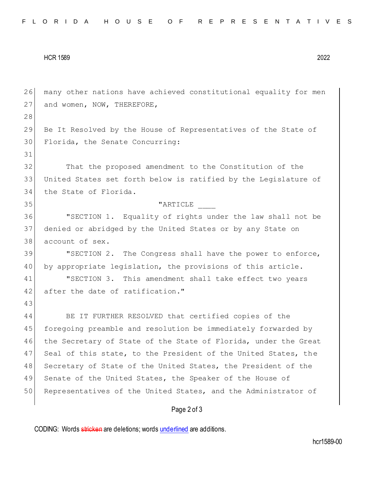## HCR 1589 2022

26 many other nations have achieved constitutional equality for men 27 and women, NOW, THEREFORE, 28 29 Be It Resolved by the House of Representatives of the State of 30 Florida, the Senate Concurring: 31 32 That the proposed amendment to the Constitution of the 33 United States set forth below is ratified by the Legislature of 34 the State of Florida. 35 | The contract of the contract of the contract of the contract of the contract of the contract of the contract of the contract of the contract of the contract of the contract of the contract of the contract of the contr 36 "SECTION 1. Equality of rights under the law shall not be 37 denied or abridged by the United States or by any State on 38 account of sex. 39 "SECTION 2. The Congress shall have the power to enforce, 40 by appropriate legislation, the provisions of this article. 41 "SECTION 3. This amendment shall take effect two years 42 after the date of ratification." 43 44 BE IT FURTHER RESOLVED that certified copies of the 45 foregoing preamble and resolution be immediately forwarded by 46 the Secretary of State of the State of Florida, under the Great 47 Seal of this state, to the President of the United States, the 48 Secretary of State of the United States, the President of the 49 Senate of the United States, the Speaker of the House of 50 Representatives of the United States, and the Administrator of

## Page 2 of 3

CODING: Words stricken are deletions; words underlined are additions.